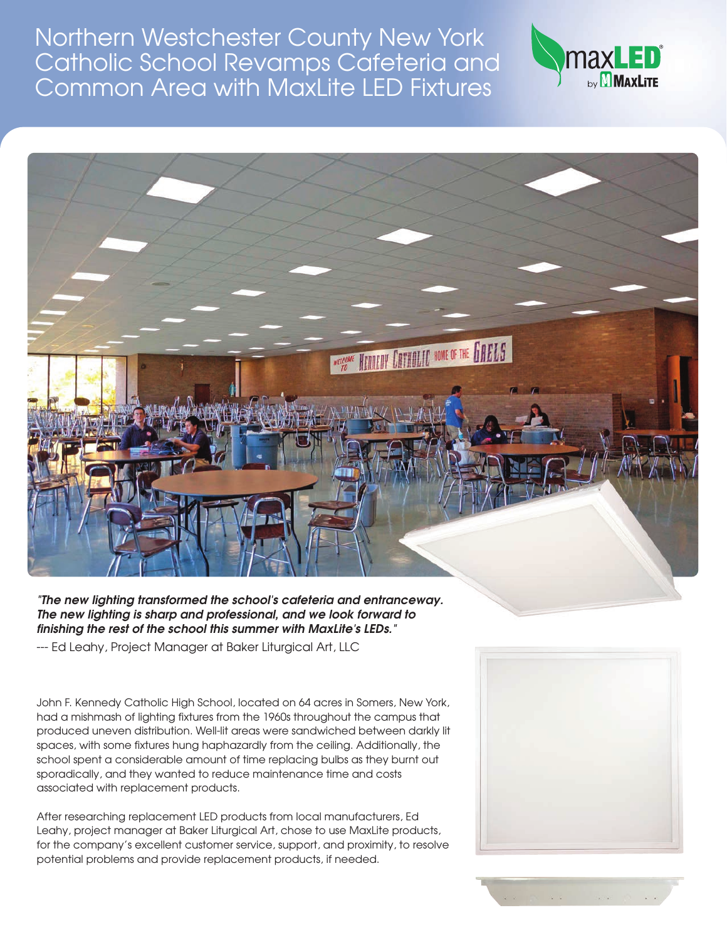Northern Westchester County New York Catholic School Revamps Cafeteria and Common Area with MaxLite LED Fixtures





*"The new lighting transformed the school's cafeteria and entranceway. The new lighting is sharp and professional, and we look forward to finishing the rest of the school this summer with MaxLite's LEDs."*

--- Ed Leahy, Project Manager at Baker Liturgical Art, LLC

John F. Kennedy Catholic High School, located on 64 acres in Somers, New York, had a mishmash of lighting fixtures from the 1960s throughout the campus that produced uneven distribution. Well-lit areas were sandwiched between darkly lit spaces, with some fixtures hung haphazardly from the ceiling. Additionally, the school spent a considerable amount of time replacing bulbs as they burnt out sporadically, and they wanted to reduce maintenance time and costs associated with replacement products.

After researching replacement LED products from local manufacturers, Ed Leahy, project manager at Baker Liturgical Art, chose to use MaxLite products, for the company's excellent customer service, support, and proximity, to resolve potential problems and provide replacement products, if needed.